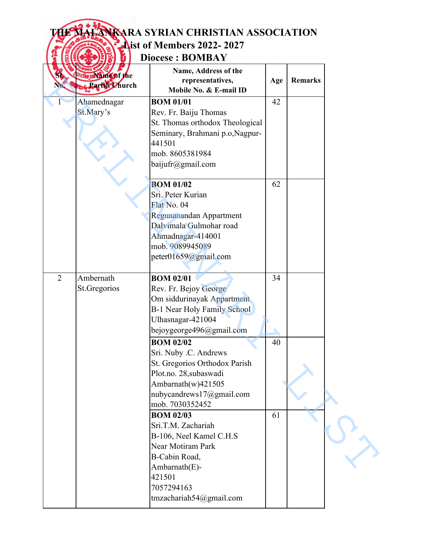| <b>wallame of the</b><br><b>BG Partsh Church</b> | Name, Address of the<br>representatives,<br>Mobile No. & E-mail ID                                                                                                              | Age | <b>Remarks</b> |
|--------------------------------------------------|---------------------------------------------------------------------------------------------------------------------------------------------------------------------------------|-----|----------------|
| Ahamednagar<br>St.Mary's                         | <b>BOM 01/01</b><br>Rev. Fr. Baiju Thomas<br>St. Thomas orthodox Theological<br>Seminary, Brahmani p.o, Nagpur-<br>441501<br>mob. 8605381984<br>baijufr@gmail.com               | 42  |                |
|                                                  | <b>BOM 01/02</b><br>Sri. Peter Kurian<br>Flat No. 04<br>Regunanandan Appartment<br>Dalvimala Gulmohar road<br>Ahmadnagar-414001<br>mob. 9089945089<br>peter01659@gmail.com      | 62  |                |
| Ambernath<br>St.Gregorios                        | <b>BOM 02/01</b><br>Rev. Fr. Bejoy George<br>Om siddurinayak Appartment<br>B-1 Near Holy Family School<br>Ulhasnagar-421004<br>bejoygeorge496@gmail.com                         | 34  |                |
|                                                  | <b>BOM 02/02</b><br>Sri. Nuby .C. Andrews<br>St. Gregorios Orthodox Parish<br>Plot.no. 28, subaswadi<br>Ambarnath(w)421505<br>nubycandrews17@gmail.com<br>mob. 7030352452       | 40  |                |
|                                                  | <b>BOM 02/03</b><br>Sri.T.M. Zachariah<br>B-106, Neel Kamel C.H.S<br>Near Motiram Park<br>B-Cabin Road,<br>Ambarnath $(E)$ -<br>421501<br>7057294163<br>tmzachariah54@gmail.com | 61  |                |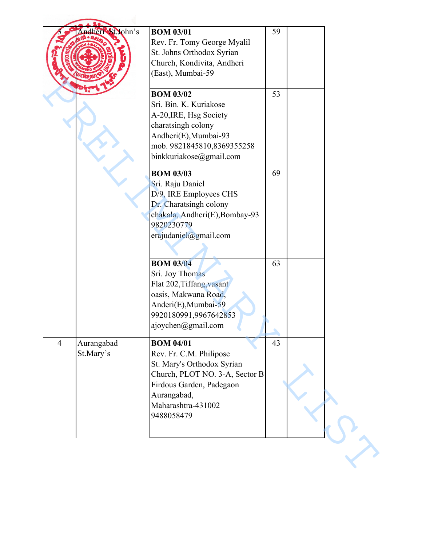| dheri St. John's                          | <b>BOM 03/01</b><br>Rev. Fr. Tomy George Myalil<br>St. Johns Orthodox Syrian<br>Church, Kondivita, Andheri<br>(East), Mumbai-59                                                            | 59 |  |
|-------------------------------------------|--------------------------------------------------------------------------------------------------------------------------------------------------------------------------------------------|----|--|
|                                           | <b>BOM 03/02</b><br>Sri. Bin. K. Kuriakose<br>A-20, IRE, Hsg Society<br>charatsingh colony<br>Andheri(E), Mumbai-93<br>mob. 9821845810,8369355258<br>binkkuriakose@gmail.com               | 53 |  |
|                                           | <b>BOM 03/03</b><br>Sri. Raju Daniel<br>D/9, IRE Employees CHS<br>Dr. Charatsingh colony<br>chakala, Andheri(E), Bombay-93<br>9820230779<br>erajudaniel@gmail.com                          | 69 |  |
|                                           | <b>BOM 03/04</b><br>Sri. Joy Thomas<br>Flat 202, Tiffang, vasant<br>oasis, Makwana Road,<br>Anderi(E), Mumbai-59<br>9920180991,9967642853<br>ajoychen@gmail.com                            | 63 |  |
| $\overline{4}$<br>Aurangabad<br>St.Mary's | <b>BOM 04/01</b><br>Rev. Fr. C.M. Philipose<br>St. Mary's Orthodox Syrian<br>Church, PLOT NO. 3-A, Sector B<br>Firdous Garden, Padegaon<br>Aurangabad,<br>Maharashtra-431002<br>9488058479 | 43 |  |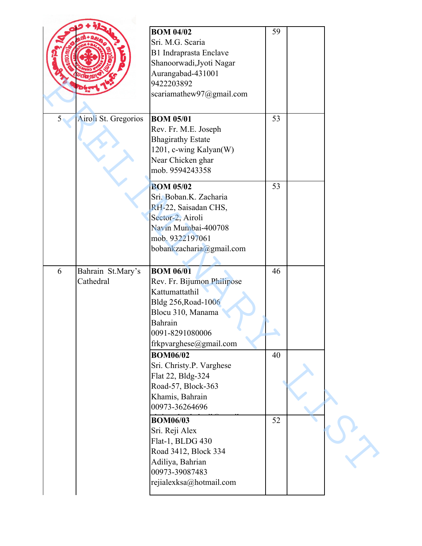|                |                                | <b>BOM 04/02</b><br>Sri. M.G. Scaria<br><b>B1</b> Indraprasta Enclave<br>Shanoorwadi, Jyoti Nagar<br>Aurangabad-431001<br>9422203892<br>scariamathew97@gmail.com                        | 59       |  |
|----------------|--------------------------------|-----------------------------------------------------------------------------------------------------------------------------------------------------------------------------------------|----------|--|
| 5 <sub>0</sub> | Airoli St. Gregorios           | <b>BOM 05/01</b><br>Rev. Fr. M.E. Joseph<br><b>Bhagirathy Estate</b><br>1201, c-wing Kalyan(W)<br>Near Chicken ghar<br>mob. 9594243358                                                  | 53       |  |
|                |                                | <b>BOM 05/02</b><br>Sri. Boban.K. Zacharia<br>RH-22, Saisadan CHS,<br>Sector-2, Airoli<br>Navin Mumbai-400708<br>mob. 9322197061<br>bobankzacharia@gmail.com                            | 53       |  |
| 6              | Bahrain St.Mary's<br>Cathedral | <b>BOM 06/01</b><br>Rev. Fr. Bijumon Philipose<br>Kattumattathil<br>Bldg 256, Road-1006<br>Blocu 310, Manama<br>Bahrain<br>0091-8291080006<br>frkpvarghese@gmail.com<br><b>BOM06/02</b> | 46<br>40 |  |
|                |                                | Sri. Christy.P. Varghese<br>Flat 22, Bldg-324<br>Road-57, Block-363<br>Khamis, Bahrain<br>00973-36264696                                                                                |          |  |
|                |                                | <b>BOM06/03</b><br>Sri. Reji Alex<br>Flat-1, BLDG 430<br>Road 3412, Block 334<br>Adiliya, Bahrian<br>00973-39087483<br>rejialexksa@hotmail.com                                          | 52       |  |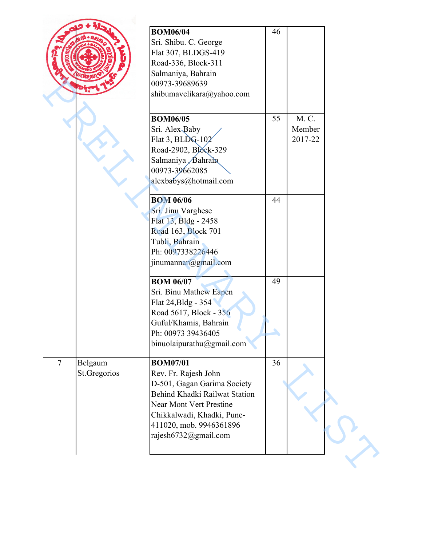|                |                         | <b>BOM06/04</b><br>Sri. Shibu. C. George<br>Flat 307, BLDGS-419<br>Road-336, Block-311<br>Salmaniya, Bahrain<br>00973-39689639<br>shibumavelikara@yahoo.com                                                                | 46 |                            |  |
|----------------|-------------------------|----------------------------------------------------------------------------------------------------------------------------------------------------------------------------------------------------------------------------|----|----------------------------|--|
|                |                         | <b>BOM06/05</b><br>Sri. Alex Baby<br>Flat 3, BLDG-102<br>Road-2902, Block-329<br>Salmaniya Bahrain<br>00973-39662085<br>alexbabys@hotmail.com                                                                              | 55 | M. C.<br>Member<br>2017-22 |  |
|                |                         | <b>BOM 06/06</b><br>Sri. Jinu Varghese<br>Flat 13, Bldg - 2458<br>Road 163, Block 701<br>Tubli, Bahrain<br>Ph: 0097338226446<br>jinumannar@gmail.com                                                                       | 44 |                            |  |
|                |                         | <b>BOM 06/07</b><br>Sri. Binu Mathew Eapen<br>Flat 24, Bldg - 354<br>Road 5617, Block - 356<br>Guful/Khamis, Bahrain<br>Ph: 00973 39436405<br>binuolaipurathu@gmail.com                                                    | 49 |                            |  |
| $\overline{7}$ | Belgaum<br>St.Gregorios | <b>BOM07/01</b><br>Rev. Fr. Rajesh John<br>D-501, Gagan Garima Society<br>Behind Khadki Railwat Station<br><b>Near Mont Vert Prestine</b><br>Chikkalwadi, Khadki, Pune-<br>411020, mob. 9946361896<br>rajesh6732@gmail.com | 36 |                            |  |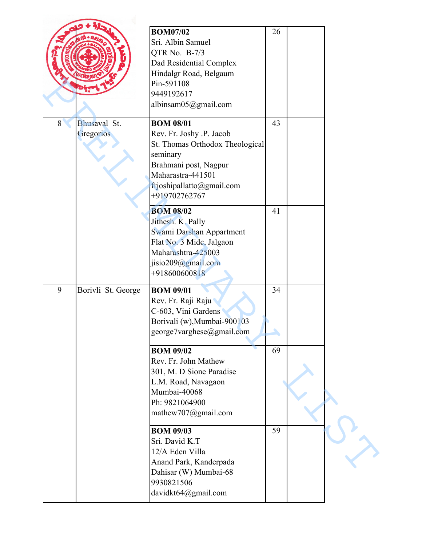|   |                           | <b>BOM07/02</b><br>Sri. Albin Samuel<br>QTR No. B-7/3<br>Dad Residential Complex<br>Hindalgr Road, Belgaum<br>Pin-591108                                                                | 26      |  |
|---|---------------------------|-----------------------------------------------------------------------------------------------------------------------------------------------------------------------------------------|---------|--|
|   |                           | 9449192617<br>albinsam05@gmail.com                                                                                                                                                      |         |  |
| 8 | Bhusaval St.<br>Gregorios | <b>BOM 08/01</b><br>Rev. Fr. Joshy .P. Jacob<br>St. Thomas Orthodox Theological<br>seminary<br>Brahmani post, Nagpur<br>Maharastra-441501<br>frjoshipallatto@gmail.com<br>+919702762767 | 43      |  |
|   |                           | <b>BOM 08/02</b><br>Jithesh. K. Pally<br>Swami Darshan Appartment<br>Flat No. 3 Mide, Jalgaon<br>Maharashtra-425003<br>jisio209@gmail.com<br>+918600600818                              | 41      |  |
| 9 | Borivli St. George        | <b>BOM 09/01</b><br>Rev. Fr. Raji Raju<br>C-603, Vini Gardens<br>Borivali (w), Mumbai-900103<br>george7varghese@gmail.com                                                               | 34<br>A |  |
|   |                           | <b>BOM 09/02</b><br>Rev. Fr. John Mathew<br>301, M. D Sione Paradise<br>L.M. Road, Navagaon<br>Mumbai-40068<br>Ph: 9821064900<br>mathew707@gmail.com                                    | 69      |  |
|   |                           | <b>BOM 09/03</b><br>Sri. David K.T<br>12/A Eden Villa<br>Anand Park, Kanderpada<br>Dahisar (W) Mumbai-68<br>9930821506<br>davidkt64@gmail.com                                           | 59      |  |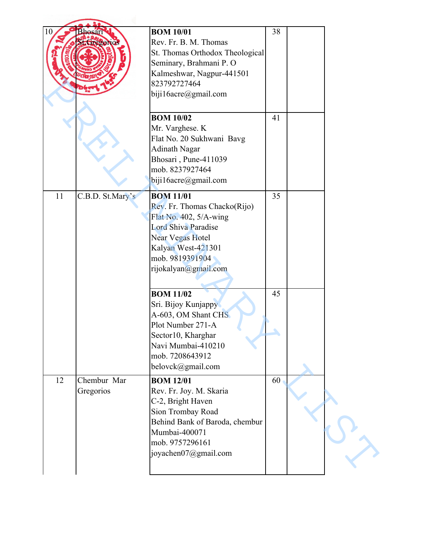| 10 | <b>Bhosari</b><br><b>GREPONO</b> | <b>BOM 10/01</b><br>Rev. Fr. B. M. Thomas<br>St. Thomas Orthodox Theological<br>Seminary, Brahmani P. O<br>Kalmeshwar, Nagpur-441501<br>823792727464<br>biji16acre@gmail.com                  | 38 |  |
|----|----------------------------------|-----------------------------------------------------------------------------------------------------------------------------------------------------------------------------------------------|----|--|
|    |                                  | <b>BOM 10/02</b><br>Mr. Varghese. K<br>Flat No. 20 Sukhwani Bavg<br><b>Adinath Nagar</b><br>Bhosari, Pune-411039<br>mob. 8237927464<br>biji16acre@gmail.com                                   | 41 |  |
| 11 | C.B.D. St.Mary's                 | <b>BOM 11/01</b><br>Rev. Fr. Thomas Chacko(Rijo)<br>Flat No. 402, 5/A-wing<br><b>Lord Shiva Paradise</b><br>Near Vegas Hotel<br>Kalyan West-421301<br>mob. 9819391904<br>rijokalyan@gmail.com | 35 |  |
|    |                                  | <b>BOM 11/02</b><br>Sri. Bijoy Kunjappy<br>A-603, OM Shant CHS<br>Plot Number 271-A<br>Sector10, Kharghar<br>Navi Mumbai-410210<br>mob. 7208643912<br>belovck@gmail.com                       | 45 |  |
| 12 | Chembur Mar<br>Gregorios         | <b>BOM 12/01</b><br>Rev. Fr. Joy. M. Skaria<br>C-2, Bright Haven<br>Sion Trombay Road<br>Behind Bank of Baroda, chembur<br>Mumbai-400071<br>mob. 9757296161<br>joyachen07@gmail.com           | 60 |  |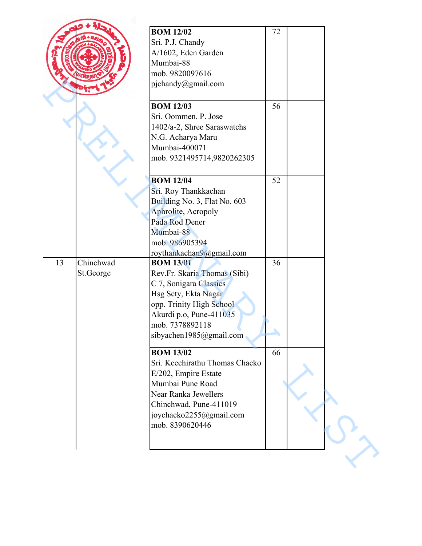|    |                        | <b>BOM 12/02</b><br>Sri. P.J. Chandy<br>A/1602, Eden Garden<br>Mumbai-88<br>mob. 9820097616<br>pjchandy@gmail.com                                                                                       | 72 |  |
|----|------------------------|---------------------------------------------------------------------------------------------------------------------------------------------------------------------------------------------------------|----|--|
|    |                        | <b>BOM 12/03</b><br>Sri. Oommen. P. Jose<br>1402/a-2, Shree Saraswatchs<br>N.G. Acharya Maru<br>Mumbai-400071<br>mob. 9321495714,9820262305                                                             | 56 |  |
|    |                        | <b>BOM 12/04</b><br>Sri. Roy Thankkachan<br>Building No. 3, Flat No. 603<br>Aphrolite, Acropoly<br>Pada Rod Dener<br>Mumbai-88<br>mob. 986905394<br>roythankachan9@gmail.com                            | 52 |  |
| 13 | Chinchwad<br>St.George | <b>BOM 13/01</b><br>Rev.Fr. Skaria Thomas (Sibi)<br>C 7, Sonigara Classics<br>Hsg Scty, Ekta Nagar<br>opp. Trinity High School<br>Akurdi p.o, Pune-411035<br>mob. 7378892118<br>sibyachen1985@gmail.com | 36 |  |
|    |                        | <b>BOM 13/02</b><br>Sri. Keechirathu Thomas Chacko<br>E/202, Empire Estate<br>Mumbai Pune Road<br>Near Ranka Jewellers<br>Chinchwad, Pune-411019<br>joychacko2255@gmail.com<br>mob. 8390620446          | 66 |  |
|    |                        |                                                                                                                                                                                                         |    |  |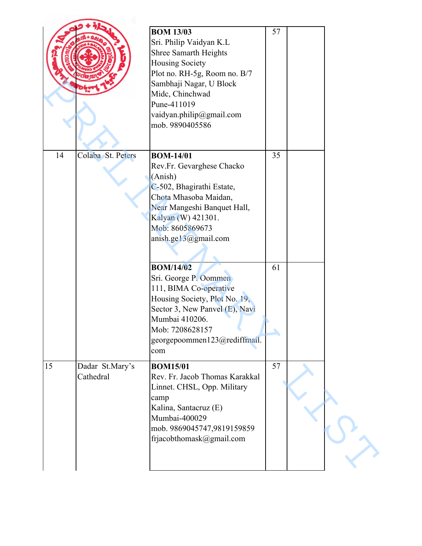|    |                              | <b>BOM 13/03</b><br>Sri. Philip Vaidyan K.L<br><b>Shree Samarth Heights</b><br>Housing Society<br>Plot no. RH-5g, Room no. B/7<br>Sambhaji Nagar, U Block<br>Midc, Chinchwad<br>Pune-411019<br>vaidyan.philip@gmail.com<br>mob. 9890405586 | 57 |  |
|----|------------------------------|--------------------------------------------------------------------------------------------------------------------------------------------------------------------------------------------------------------------------------------------|----|--|
| 14 | Colaba St. Peters            | <b>BOM-14/01</b><br>Rev.Fr. Gevarghese Chacko<br>(Anish)<br>C-502, Bhagirathi Estate,<br>Chota Mhasoba Maidan,<br>Near Mangeshi Banquet Hall,<br>Kalyan (W) 421301.<br>Mob: 8605869673<br>anish.ge13@gmail.com                             | 35 |  |
|    |                              | <b>BOM/14/02</b><br>Sri. George P. Oommen<br>111, BIMA Co-operative<br>Housing Society, Plot No. 19,<br>Sector 3, New Panvel (E), Navi<br>Mumbai 410206.<br>Mob: 7208628157<br>georgepoommen123@rediffmail.<br>com                         | 61 |  |
| 15 | Dadar St.Mary's<br>Cathedral | <b>BOM15/01</b><br>Rev. Fr. Jacob Thomas Karakkal<br>Linnet. CHSL, Opp. Military<br>camp<br>Kalina, Santacruz (E)<br>Mumbai-400029<br>mob. 9869045747,9819159859<br>frjacobthomask@gmail.com                                               | 57 |  |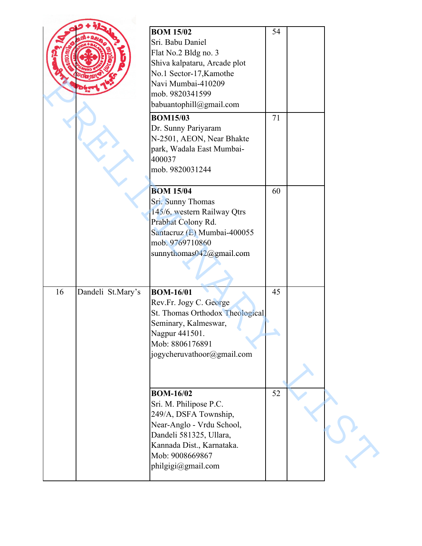|    |                   | <b>BOM 15/02</b><br>Sri. Babu Daniel<br>Flat No.2 Bldg no. 3<br>Shiva kalpataru, Arcade plot<br>No.1 Sector-17, Kamothe<br>Navi Mumbai-410209<br>mob. 9820341599<br>babuantophill@gmail.com<br><b>BOM15/03</b><br>Dr. Sunny Pariyaram<br>N-2501, AEON, Near Bhakte<br>park, Wadala East Mumbai-<br>400037<br>mob. 9820031244 | 54<br>71 |  |
|----|-------------------|------------------------------------------------------------------------------------------------------------------------------------------------------------------------------------------------------------------------------------------------------------------------------------------------------------------------------|----------|--|
|    |                   | <b>BOM 15/04</b><br>Sri. Sunny Thomas<br>145/6, western Railway Qtrs<br>Prabhat Colony Rd.<br>Santacruz (E) Mumbai-400055<br>mob. 9769710860<br>sunnythomas042@gmail.com                                                                                                                                                     | 60       |  |
| 16 | Dandeli St.Mary's | <b>BOM-16/01</b><br>Rev.Fr. Jogy C. George<br>St. Thomas Orthodox Theological<br>Seminary, Kalmeswar,<br>Nagpur 441501.<br>Mob: 8806176891<br>jogycheruvathoor@gmail.com                                                                                                                                                     | 45       |  |
|    |                   | <b>BOM-16/02</b><br>Sri. M. Philipose P.C.<br>249/A, DSFA Township,<br>Near-Anglo - Vrdu School,<br>Dandeli 581325, Ullara,<br>Kannada Dist., Karnataka.<br>Mob: 9008669867<br>philgigi@gmail.com                                                                                                                            | 52       |  |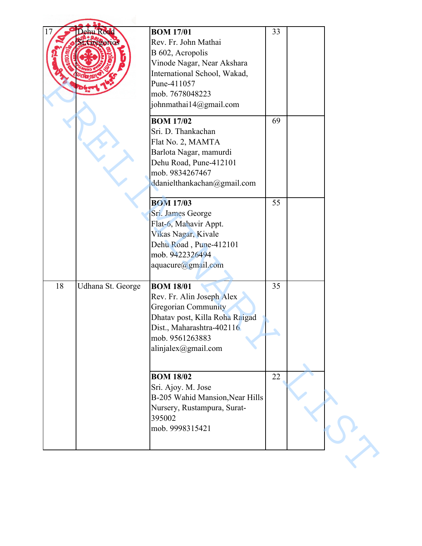| 17 | Dehu Road<br><b>Gregorios</b> | <b>BOM 17/01</b><br>Rev. Fr. John Mathai<br>B 602, Acropolis<br>Vinode Nagar, Near Akshara<br>International School, Wakad,<br>Pune-411057<br>mob. 7678048223<br>johnmathai14@gmail.com | 33 |  |
|----|-------------------------------|----------------------------------------------------------------------------------------------------------------------------------------------------------------------------------------|----|--|
|    |                               | <b>BOM 17/02</b><br>Sri. D. Thankachan<br>Flat No. 2, MAMTA<br>Barlota Nagar, mamurdi<br>Dehu Road, Pune-412101<br>mob. 9834267467<br>ddanielthankachan@gmail.com                      | 69 |  |
|    |                               | <b>BOM 17/03</b><br>Sri. James George<br>Flat-6, Mahavir Appt.<br>Vikas Nagar, Kivale<br>Dehu Road, Pune-412101<br>mob. 9422326494<br>aquacure@gmail.com                               | 55 |  |
| 18 | Udhana St. George             | <b>BOM 18/01</b><br>Rev. Fr. Alin Joseph Alex<br><b>Gregorian Community</b><br>Dhatav post, Killa Roha Raigad<br>Dist., Maharashtra-402116<br>mob. 9561263883<br>alinjalex@gmail.com   | 35 |  |
|    |                               | <b>BOM 18/02</b><br>Sri. Ajoy. M. Jose<br>B-205 Wahid Mansion, Near Hills<br>Nursery, Rustampura, Surat-<br>395002<br>mob. 9998315421                                                  | 22 |  |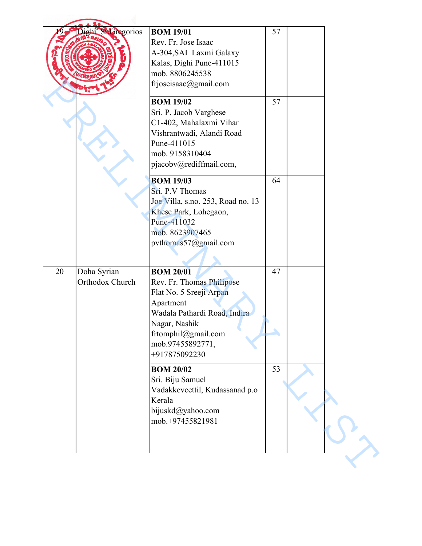|    | Dight St. Gregorios            | <b>BOM 19/01</b><br>Rev. Fr. Jose Isaac<br>A-304, SAI Laxmi Galaxy<br>Kalas, Dighi Pune-411015<br>mob. 8806245538<br>frjoseisaac@gmail.com                                                         | 57 |  |
|----|--------------------------------|----------------------------------------------------------------------------------------------------------------------------------------------------------------------------------------------------|----|--|
|    |                                | <b>BOM 19/02</b><br>Sri. P. Jacob Varghese<br>C1-402, Mahalaxmi Vihar<br>Vishrantwadi, Alandi Road<br>Pune-411015<br>mob. 9158310404<br>pjacobv@rediffmail.com,                                    | 57 |  |
|    |                                | <b>BOM 19/03</b><br>Sri. P.V Thomas<br>Joe Villa, s.no. 253, Road no. 13<br>Khese Park, Lohegaon,<br>Pune-411032<br>mob. 8623907465<br>pvthomas57@gmail.com                                        | 64 |  |
| 20 | Doha Syrian<br>Orthodox Church | <b>BOM 20/01</b><br>Rev. Fr. Thomas Philipose<br>Flat No. 5 Sreeji Arpan<br>Apartment<br>Wadala Pathardi Road, Indira<br>Nagar, Nashik<br>frtomphil@gmail.com<br>mob.97455892771,<br>+917875092230 | 47 |  |
|    |                                | <b>BOM 20/02</b><br>Sri. Biju Samuel<br>Vadakkeveettil, Kudassanad p.o<br>Kerala<br>bijuskd@yahoo.com<br>mob.+97455821981                                                                          | 53 |  |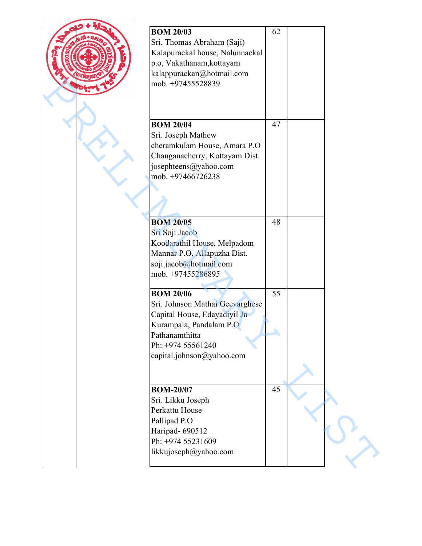| <b>BOM 20/03</b><br>Sri. Thomas Abraham (Saji)<br>Kalapurackal house, Nalunnackal<br>p.o, Vakathanam, kottayam<br>kalappurackan@hotmail.com<br>mob. +97455528839                   | 62 |  |
|------------------------------------------------------------------------------------------------------------------------------------------------------------------------------------|----|--|
| <b>BOM 20/04</b><br>Sri. Joseph Mathew<br>cheramkulam House, Amara P.O<br>Changanacherry, Kottayam Dist.<br>josephteens@yahoo.com<br>mob. +97466726238                             | 47 |  |
| <b>BOM 20/05</b><br>Sri Soji Jacob<br>Koodarathil House, Melpadom<br>Mannar P.O, Allapuzha Dist.<br>soji.jacob@hotmail.com<br>mob. +97455286895                                    | 48 |  |
| <b>BOM 20/06</b><br>Sri. Johnson Mathai Geevarghese<br>Capital House, Edayadiyil Jn<br>Kurampala, Pandalam P.O<br>Pathanamthitta<br>Ph: +974 55561240<br>capital.johnson@yahoo.com | 55 |  |
| <b>BOM-20/07</b><br>Sri. Likku Joseph<br>Perkattu House<br>Pallipad P.O<br>Haripad- 690512<br>Ph: +974 55231609<br>likkujoseph@yahoo.com                                           | 45 |  |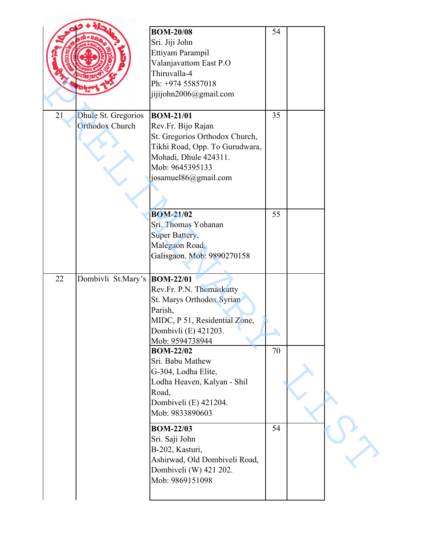|    |                                               | <b>BOM-20/08</b><br>Sri. Jiji John<br>Ettiyam Parampil<br>Valanjavattom East P.O<br>Thiruvalla-4<br>Ph: +974 55857018<br>jijijohn2006@gmail.com                                                                                                                                                                                                                                                                                                            | 54       |  |
|----|-----------------------------------------------|------------------------------------------------------------------------------------------------------------------------------------------------------------------------------------------------------------------------------------------------------------------------------------------------------------------------------------------------------------------------------------------------------------------------------------------------------------|----------|--|
| 21 | Dhule St. Gregorios<br><b>Orthodox Church</b> | <b>BOM-21/01</b><br>Rev.Fr. Bijo Rajan<br>St. Gregorios Orthodox Church,<br>Tikhi Road, Opp. To Gurudwara,<br>Mohadi, Dhule 424311.<br>Mob: 9645395133<br>josamuel86@gmail.com                                                                                                                                                                                                                                                                             | 35       |  |
|    |                                               | <b>BOM-21/02</b><br>Sri. Thomas Yohanan<br><b>Super Battery,</b><br>Malegaon Road,<br>Galisgaon. Mob: 9890270158                                                                                                                                                                                                                                                                                                                                           | 55       |  |
| 22 | Dombivli St.Mary's                            | <b>BOM-22/01</b><br>Rev.Fr. P.N. Thomaskutty<br>St. Marys Orthodox Syrian<br>Parish,<br>MIDC, P 51, Residential Zone,<br>Dombivli (E) 421203.<br>Mob: 9594738944<br><b>BOM-22/02</b><br>Sri. Babu Mathew<br>G-304, Lodha Elite,<br>Lodha Heaven, Kalyan - Shil<br>Road,<br>Dombiveli (E) 421204.<br>Mob: 9833890603<br><b>BOM-22/03</b><br>Sri. Saji John<br>B-202, Kasturi,<br>Ashirwad, Old Dombiveli Road,<br>Dombiveli (W) 421 202.<br>Mob: 9869151098 | 70<br>54 |  |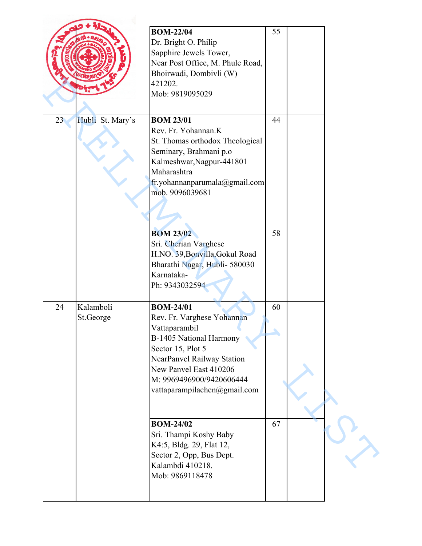|    |                        | <b>BOM-22/04</b><br>Dr. Bright O. Philip<br>Sapphire Jewels Tower,<br>Near Post Office, M. Phule Road,<br>Bhoirwadi, Dombivli (W)<br>421202.<br>Mob: 9819095029                                                                     | 55 |  |
|----|------------------------|-------------------------------------------------------------------------------------------------------------------------------------------------------------------------------------------------------------------------------------|----|--|
| 23 | Hubli St. Mary's       | <b>BOM 23/01</b><br>Rev. Fr. Yohannan.K<br>St. Thomas orthodox Theological<br>Seminary, Brahmani p.o<br>Kalmeshwar, Nagpur-441801<br>Maharashtra<br>fr.yohannanparumala@gmail.com<br>mob. 9096039681                                | 44 |  |
|    |                        | <b>BOM 23/02</b><br>Sri. Cherian Varghese<br>H.NO. 39, Bonvilla, Gokul Road<br>Bharathi Nagar, Hubli- 580030<br>Karnataka-<br>Ph: 9343032594                                                                                        | 58 |  |
| 24 | Kalamboli<br>St.George | <b>BOM-24/01</b><br>Rev. Fr. Varghese Yohannan<br>Vattaparambil<br>B-1405 National Harmony<br>Sector 15, Plot 5<br>NearPanvel Railway Station<br>New Panvel East 410206<br>M: 9969496900/9420606444<br>vattaparampilachen@gmail.com | 60 |  |
|    |                        | <b>BOM-24/02</b><br>Sri. Thampi Koshy Baby<br>K4:5, Bldg. 29, Flat 12,<br>Sector 2, Opp, Bus Dept.<br>Kalambdi 410218.<br>Mob: 9869118478                                                                                           | 67 |  |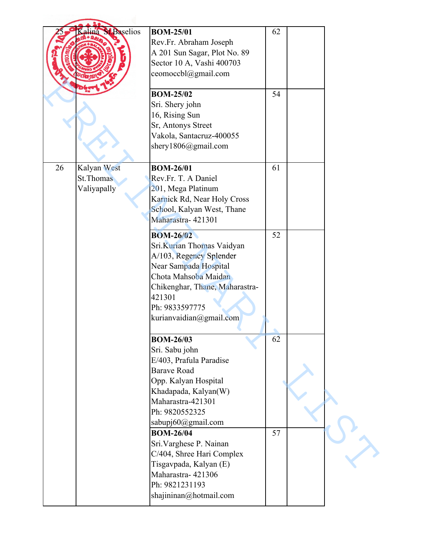|    | <b>St Baselios</b><br>-na                      | <b>BOM-25/01</b><br>Rev.Fr. Abraham Joseph<br>A 201 Sun Sagar, Plot No. 89<br>Sector 10 A, Vashi 400703<br>ceomoccbl@gmail.com                                                                                     | 62 |  |
|----|------------------------------------------------|--------------------------------------------------------------------------------------------------------------------------------------------------------------------------------------------------------------------|----|--|
|    |                                                | <b>BOM-25/02</b><br>Sri. Shery john<br>16, Rising Sun<br>Sr, Antonys Street<br>Vakola, Santacruz-400055<br>shery1806@gmail.com                                                                                     | 54 |  |
| 26 | Kalyan West<br><b>St.Thomas</b><br>Valiyapally | <b>BOM-26/01</b><br>Rev.Fr. T. A Daniel<br>201, Mega Platinum<br>Karnick Rd, Near Holy Cross<br>School, Kalyan West, Thane<br>Maharastra- 421301                                                                   | 61 |  |
|    |                                                | <b>BOM-26/02</b><br>Sri.Kurian Thomas Vaidyan<br>A/103, Regency Splender<br>Near Sampada Hospital<br>Chota Mahsoba Maidan<br>Chikenghar, Thane, Maharastra-<br>421301<br>Ph: 9833597775<br>kurianvaidian@gmail.com | 52 |  |
|    |                                                | <b>BOM-26/03</b><br>Sri. Sabu john<br>E/403, Prafula Paradise<br><b>Barave Road</b><br>Opp. Kalyan Hospital<br>Khadapada, Kalyan(W)<br>Maharastra-421301<br>Ph: 9820552325<br>sabupj60@gmail.com                   | 62 |  |
|    |                                                | <b>BOM-26/04</b><br>Sri. Varghese P. Nainan<br>C/404, Shree Hari Complex<br>Tisgavpada, Kalyan (E)<br>Maharastra-421306<br>Ph: 9821231193<br>shajininan@hotmail.com                                                | 57 |  |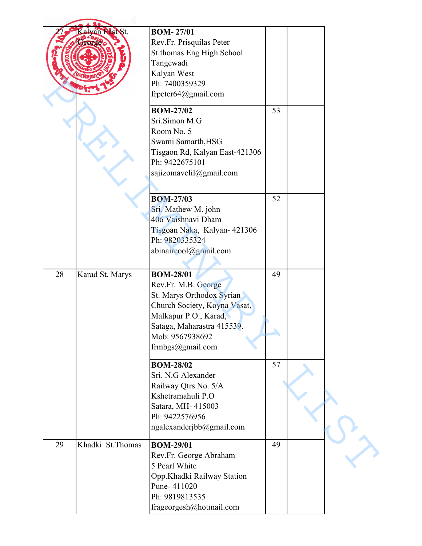|    | yan Bast St.     | <b>BOM-27/01</b>               |    |  |
|----|------------------|--------------------------------|----|--|
|    |                  |                                |    |  |
|    |                  | Rev.Fr. Prisquilas Peter       |    |  |
|    |                  | St.thomas Eng High School      |    |  |
|    |                  | Tangewadi                      |    |  |
|    |                  | Kalyan West                    |    |  |
|    |                  | Ph: 7400359329                 |    |  |
|    |                  | frpeter64@gmail.com            |    |  |
|    |                  |                                |    |  |
|    |                  | <b>BOM-27/02</b>               | 53 |  |
|    |                  | Sri.Simon M.G                  |    |  |
|    |                  | Room No. 5                     |    |  |
|    |                  | Swami Samarth, HSG             |    |  |
|    |                  | Tisgaon Rd, Kalyan East-421306 |    |  |
|    |                  | Ph: 9422675101                 |    |  |
|    |                  | sajizomavelil@gmail.com        |    |  |
|    |                  |                                |    |  |
|    |                  |                                |    |  |
|    |                  | <b>BOM-27/03</b>               | 52 |  |
|    |                  | Sri. Mathew M. john            |    |  |
|    |                  | 406 Vaishnavi Dham             |    |  |
|    |                  | Tisgoan Naka, Kalyan- 421306   |    |  |
|    |                  | Ph: 9820335324                 |    |  |
|    |                  | abinaircool@gmail.com          |    |  |
|    |                  |                                |    |  |
|    |                  |                                |    |  |
| 28 | Karad St. Marys  | <b>BOM-28/01</b>               | 49 |  |
|    |                  | Rev.Fr. M.B. George            |    |  |
|    |                  | St. Marys Orthodox Syrian      |    |  |
|    |                  | Church Society, Koyna Vasat,   |    |  |
|    |                  | Malkapur P.O., Karad,          |    |  |
|    |                  | Sataga, Maharastra 415539.     |    |  |
|    |                  | Mob: 9567938692                |    |  |
|    |                  | frmbgs@gmail.com               |    |  |
|    |                  |                                |    |  |
|    |                  | <b>BOM-28/02</b>               | 57 |  |
|    |                  | Sri. N.G Alexander             |    |  |
|    |                  | Railway Qtrs No. 5/A           |    |  |
|    |                  | Kshetramahuli P.O              |    |  |
|    |                  |                                |    |  |
|    |                  | Satara, MH- 415003             |    |  |
|    |                  | Ph: 9422576956                 |    |  |
|    |                  | ngalexanderjbb@gmail.com       |    |  |
| 29 | Khadki St.Thomas | <b>BOM-29/01</b>               | 49 |  |
|    |                  |                                |    |  |
|    |                  | Rev.Fr. George Abraham         |    |  |
|    |                  | 5 Pearl White                  |    |  |
|    |                  |                                |    |  |
|    |                  | Opp.Khadki Railway Station     |    |  |
|    |                  | Pune-411020                    |    |  |
|    |                  | Ph: 9819813535                 |    |  |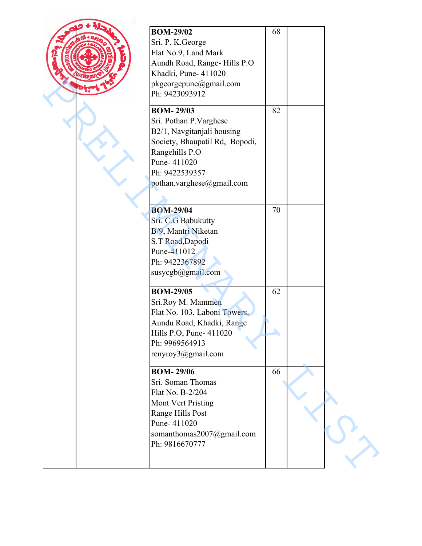|  | <b>BOM-29/02</b><br>Sri. P. K. George<br>Flat No.9, Land Mark<br>Aundh Road, Range-Hills P.O<br>Khadki, Pune- 411020<br>pkgeorgepune@gmail.com<br>Ph: 9423093912                            | 68 |  |
|--|---------------------------------------------------------------------------------------------------------------------------------------------------------------------------------------------|----|--|
|  | <b>BOM-29/03</b><br>Sri. Pothan P. Varghese<br>B2/1, Navgitanjali housing<br>Society, Bhaupatil Rd, Bopodi,<br>Rangehills P.O<br>Pune-411020<br>Ph: 9422539357<br>pothan.varghese@gmail.com | 82 |  |
|  | <b>BOM-29/04</b><br>Sri. C.G Babukutty<br>B/9, Mantri Niketan<br>S.T Road, Dapodi<br>Pune-411012<br>Ph: 9422367892<br>susycgb@gmail.com                                                     | 70 |  |
|  | <b>BOM-29/05</b><br>Sri.Roy M. Mammen<br>Flat No. 103, Laboni Towers,<br>Aundu Road, Khadki, Range<br>Hills P.O, Pune- 411020<br>Ph: 9969564913<br>renyroy3@gmail.com                       | 62 |  |
|  | <b>BOM-29/06</b><br>Sri. Soman Thomas<br>Flat No. B-2/204<br>Mont Vert Pristing<br>Range Hills Post<br>Pune-411020<br>somanthomas2007@gmail.com<br>Ph: 9816670777                           | 66 |  |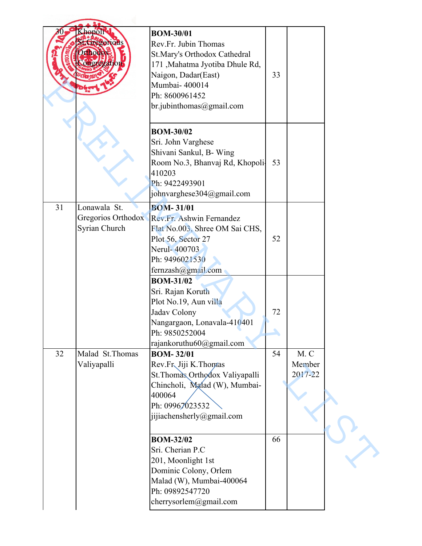|    | Khopoli<br>St. Gregorious<br>Prhodok<br>ongrégation | <b>BOM-30/01</b><br>Rev.Fr. Jubin Thomas<br>St.Mary's Orthodox Cathedral<br>171 , Mahatma Jyotiba Dhule Rd,<br>Naigon, Dadar(East)<br>Mumbai- 400014<br>Ph: 8600961452<br>br.jubinthomas@gmail.com | 33 |                          |  |
|----|-----------------------------------------------------|----------------------------------------------------------------------------------------------------------------------------------------------------------------------------------------------------|----|--------------------------|--|
|    |                                                     | <b>BOM-30/02</b><br>Sri. John Varghese<br>Shivani Sankul, B- Wing<br>Room No.3, Bhanvaj Rd, Khopoli-<br>410203<br>Ph: 9422493901<br>johnvarghese304@gmail.com                                      | 53 |                          |  |
| 31 | Lonawala St.<br>Gregorios Orthodox<br>Syrian Church | <b>BOM-31/01</b><br>Rev.Fr. Ashwin Fernandez<br>Flat No.003, Shree OM Sai CHS,<br>Plot 56, Sector 27<br>Nerul- 400703<br>Ph: 9496021530<br>fernzash@gmail.com                                      | 52 |                          |  |
|    |                                                     | <b>BOM-31/02</b><br>Sri. Rajan Koruth<br>Plot No.19, Aun villa<br>Jadav Colony<br>Nangargaon, Lonavala-410401<br>Ph: 9850252004<br>rajankoruthu60@gmail.com                                        | 72 |                          |  |
| 32 | Malad St.Thomas<br>Valiyapalli                      | <b>BOM-32/01</b><br>Rev.Fr. Jiji K.Thomas<br>St. Thomas Orthodox Valiyapalli<br>Chincholi, Malad (W), Mumbai-<br>400064<br>Ph: 09967023532<br>jijiachensherly@gmail.com                            | 54 | M.C<br>Member<br>2017-22 |  |
|    |                                                     | <b>BOM-32/02</b><br>Sri. Cherian P.C<br>201, Moonlight 1st<br>Dominic Colony, Orlem<br>Malad (W), Mumbai-400064<br>Ph: 09892547720<br>cherrysorlem@gmail.com                                       | 66 |                          |  |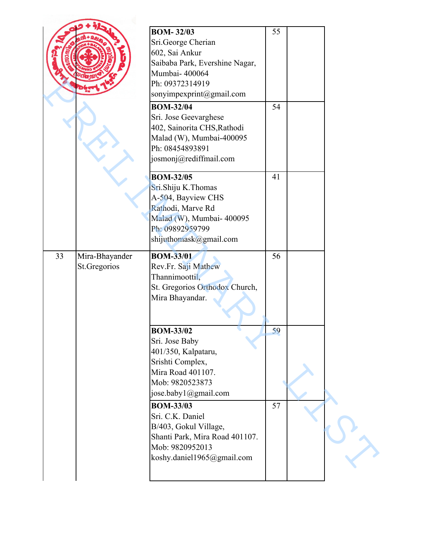|    |                | <b>BOM-32/03</b>                      | 55 |  |
|----|----------------|---------------------------------------|----|--|
|    |                | Sri.George Cherian                    |    |  |
|    |                | 602, Sai Ankur                        |    |  |
|    |                | Saibaba Park, Evershine Nagar,        |    |  |
|    |                | Mumbai- 400064                        |    |  |
|    |                | Ph: 09372314919                       |    |  |
|    |                | sonyimpexprint@gmail.com              |    |  |
|    |                | <b>BOM-32/04</b>                      | 54 |  |
|    |                | Sri. Jose Geevarghese                 |    |  |
|    |                | 402, Sainorita CHS, Rathodi           |    |  |
|    |                | Malad (W), Mumbai-400095              |    |  |
|    |                | Ph: 08454893891                       |    |  |
|    |                | josmonj@rediffmail.com                |    |  |
|    |                |                                       |    |  |
|    |                | <b>BOM-32/05</b>                      | 41 |  |
|    |                | Sri.Shiju K.Thomas                    |    |  |
|    |                | A-504, Bayview CHS                    |    |  |
|    |                | Rathodi, Marve Rd                     |    |  |
|    |                | Malad (W), Mumbai- 400095             |    |  |
|    |                | Ph: 09892959799                       |    |  |
|    |                | shijuthomask@gmail.com                |    |  |
|    | Mira-Bhayander | <b>BOM-33/01</b>                      |    |  |
| 33 |                |                                       | 56 |  |
|    |                |                                       |    |  |
|    | St.Gregorios   | Rev.Fr. Saji Mathew<br>Thannimoottil, |    |  |
|    |                | St. Gregorios Orthodox Church,        |    |  |
|    |                | Mira Bhayandar.                       |    |  |
|    |                |                                       |    |  |
|    |                |                                       |    |  |
|    |                | <b>BOM-33/02</b>                      | 59 |  |
|    |                | Sri. Jose Baby                        |    |  |
|    |                | 401/350, Kalpataru,                   |    |  |
|    |                | Srishti Complex,                      |    |  |
|    |                | Mira Road 401107.                     |    |  |
|    |                | Mob: 9820523873                       |    |  |
|    |                | jose.baby1@gmail.com                  |    |  |
|    |                | <b>BOM-33/03</b>                      | 57 |  |
|    |                | Sri. C.K. Daniel                      |    |  |
|    |                | B/403, Gokul Village,                 |    |  |
|    |                | Shanti Park, Mira Road 401107.        |    |  |
|    |                | Mob: 9820952013                       |    |  |
|    |                | koshy.daniel1965@gmail.com            |    |  |
|    |                |                                       |    |  |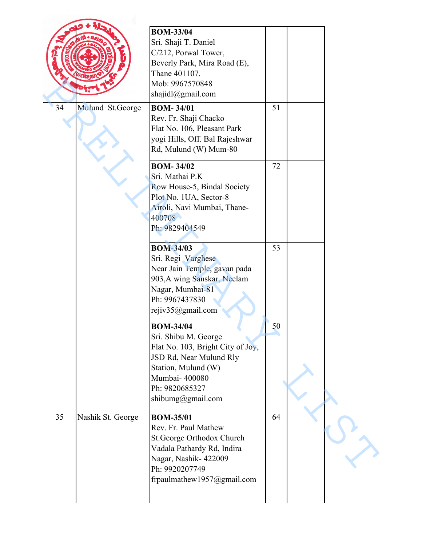|    |                   | <b>BOM-33/04</b><br>Sri. Shaji T. Daniel<br>C/212, Porwal Tower,<br>Beverly Park, Mira Road (E),<br>Thane 401107.<br>Mob: 9967570848<br>shajidl@gmail.com                                |    |  |
|----|-------------------|------------------------------------------------------------------------------------------------------------------------------------------------------------------------------------------|----|--|
| 34 | Mulund St.George  | <b>BOM-34/01</b><br>Rev. Fr. Shaji Chacko<br>Flat No. 106, Pleasant Park<br>yogi Hills, Off. Bal Rajeshwar<br>Rd, Mulund (W) Mum-80                                                      | 51 |  |
|    |                   | <b>BOM-34/02</b><br>Sri. Mathai P.K<br>Row House-5, Bindal Society<br>Plot No. 1UA, Sector-8<br>Airoli, Navi Mumbai, Thane-<br>400708<br>Ph: 9829404549                                  | 72 |  |
|    |                   | <b>BOM-34/03</b><br>Sri. Regi Varghese<br>Near Jain Temple, gavan pada<br>903, A wing Sanskar, Neelam<br>Nagar, Mumbai-81<br>Ph: 9967437830<br>rejiv35@gmail.com                         | 53 |  |
|    |                   | <b>BOM-34/04</b><br>Sri. Shibu M. George<br>Flat No. 103, Bright City of Joy,<br>JSD Rd, Near Mulund Rly<br>Station, Mulund (W)<br>Mumbai- 400080<br>Ph: 9820685327<br>shibumg@gmail.com | 50 |  |
| 35 | Nashik St. George | <b>BOM-35/01</b><br>Rev. Fr. Paul Mathew<br>St.George Orthodox Church<br>Vadala Pathardy Rd, Indira<br>Nagar, Nashik-422009<br>Ph: 9920207749<br>frpaulmathew1957@gmail.com              | 64 |  |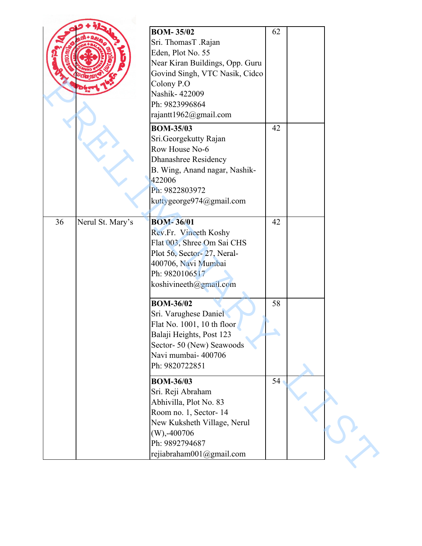|    |                  | <b>BOM-35/02</b><br>Sri. ThomasT .Rajan<br>Eden, Plot No. 55<br>Near Kiran Buildings, Opp. Guru<br>Govind Singh, VTC Nasik, Cidco<br>Colony P.O<br>Nashik- 422009<br>Ph: 9823996864<br>rajantt1962@gmail.com | 62 |  |
|----|------------------|--------------------------------------------------------------------------------------------------------------------------------------------------------------------------------------------------------------|----|--|
|    |                  | <b>BOM-35/03</b><br>Sri.Georgekutty Rajan<br>Row House No-6<br>Dhanashree Residency<br>B. Wing, Anand nagar, Nashik-<br>422006<br>Ph: 9822803972<br>kuttygeorge974@gmail.com                                 | 42 |  |
| 36 | Nerul St. Mary's | <b>BOM-36/01</b><br>Rev.Fr. Vineeth Koshy<br>Flat 003, Shree Om Sai CHS<br>Plot 56, Sector-27, Neral-<br>400706, Navi Mumbai<br>Ph: 9820106517<br>koshivineeth@gmail.com                                     | 42 |  |
|    |                  | <b>BOM-36/02</b><br>Sri. Varughese Daniel<br>Flat No. 1001, 10 th floor<br>Balaji Heights, Post 123<br>Sector-50 (New) Seawoods<br>Navi mumbai- 400706<br>Ph: 9820722851                                     | 58 |  |
|    |                  | <b>BOM-36/03</b><br>Sri. Reji Abraham<br>Abhivilla, Plot No. 83<br>Room no. 1, Sector-14<br>New Kuksheth Village, Nerul<br>$(W)$ ,-400706<br>Ph: 9892794687<br>rejiabraham001@gmail.com                      | 54 |  |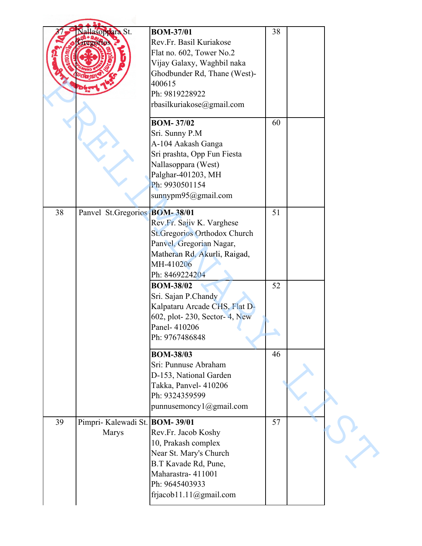|    | Nallasoppara St.<br><b>TEPOTION</b>            | <b>BOM-37/01</b><br>Rev.Fr. Basil Kuriakose<br>Flat no. 602, Tower No.2<br>Vijay Galaxy, Waghbil naka<br>Ghodbunder Rd, Thane (West)-<br>400615<br>Ph: 9819228922<br>rbasilkuriakose@gmail.com | 38       |  |
|----|------------------------------------------------|------------------------------------------------------------------------------------------------------------------------------------------------------------------------------------------------|----------|--|
|    |                                                | <b>BOM-37/02</b><br>Sri. Sunny P.M<br>A-104 Aakash Ganga<br>Sri prashta, Opp Fun Fiesta<br>Nallasoppara (West)<br>Palghar-401203, MH<br>Ph: 9930501154<br>sunnypm95@gmail.com                  | 60       |  |
| 38 | Panvel St.Gregorios BOM-38/01                  | Rev.Fr. Sajiv K. Varghese<br><b>St.Gregorios Orthodox Church</b><br>Panvel, Gregorian Nagar,<br>Matheran Rd, Akurli, Raigad,<br>MH-410206<br>Ph: 8469224204<br><b>BOM-38/02</b>                | 51<br>52 |  |
|    |                                                | Sri. Sajan P.Chandy<br>Kalpataru Arcade CHS, Flat D-<br>602, plot-230, Sector-4, New<br>Panel-410206<br>Ph: 9767486848                                                                         |          |  |
|    |                                                | <b>BOM-38/03</b><br>Sri: Punnuse Abraham<br>D-153, National Garden<br>Takka, Panvel- 410206<br>Ph: 9324359599<br>punnusemoncy $1$ @ gmail.com                                                  | 46       |  |
| 39 | Pimpri- Kalewadi St. BOM-39/01<br><b>Marys</b> | Rev.Fr. Jacob Koshy<br>10, Prakash complex<br>Near St. Mary's Church<br>B.T Kavade Rd, Pune,<br>Maharastra-411001<br>Ph: 9645403933<br>frjacob11.11@gmail.com                                  | 57       |  |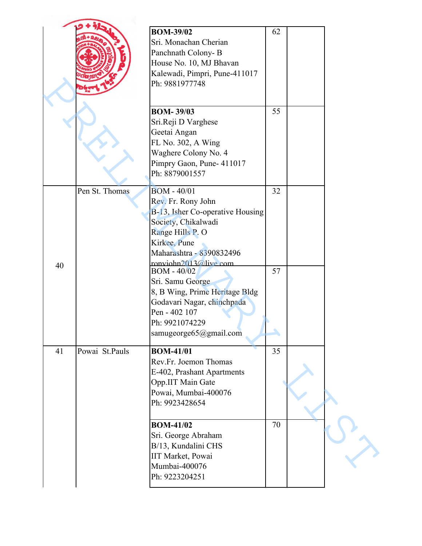|    |                | <b>BOM-39/02</b><br>Sri. Monachan Cherian<br>Panchnath Colony-B<br>House No. 10, MJ Bhavan<br>Kalewadi, Pimpri, Pune-411017<br>Ph: 9881977748                                                                                                                            | 62       |  |
|----|----------------|--------------------------------------------------------------------------------------------------------------------------------------------------------------------------------------------------------------------------------------------------------------------------|----------|--|
|    |                | <b>BOM-39/03</b><br>Sri.Reji D Varghese<br>Geetai Angan<br>FL No. 302, A Wing<br>Waghere Colony No. 4<br>Pimpry Gaon, Pune- 411017<br>Ph: 8879001557                                                                                                                     | 55       |  |
| 40 | Pen St. Thomas | <b>BOM - 40/01</b><br>Rev. Fr. Rony John<br>B-13, Isher Co-operative Housing<br>Society, Chikalwadi<br>Range Hills P. O<br>Kirkee, Pune<br>Maharashtra - 8390832496<br>ronviohn2013@live.com<br><b>BOM - 40/02</b><br>Sri. Samu George<br>8, B Wing, Prime Heritage Bldg | 32<br>57 |  |
|    |                | Godavari Nagar, chinchpada<br>Pen - 402 107<br>Ph: 9921074229<br>samugeorge65@gmail.com                                                                                                                                                                                  |          |  |
| 41 | Powai St.Pauls | <b>BOM-41/01</b><br>Rev.Fr. Joemon Thomas<br>E-402, Prashant Apartments<br>Opp.IIT Main Gate<br>Powai, Mumbai-400076<br>Ph: 9923428654                                                                                                                                   | 35       |  |
|    |                | <b>BOM-41/02</b><br>Sri. George Abraham<br>B/13, Kundalini CHS<br>IIT Market, Powai<br>Mumbai-400076<br>Ph: 9223204251                                                                                                                                                   | 70       |  |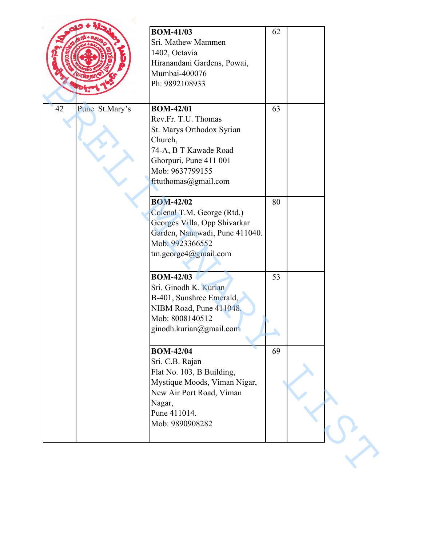|    |                | <b>BOM-41/03</b><br>Sri. Mathew Mammen<br>1402, Octavia<br>Hiranandani Gardens, Powai,<br>Mumbai-400076<br>Ph: 9892108933                                                     | 62 |  |
|----|----------------|-------------------------------------------------------------------------------------------------------------------------------------------------------------------------------|----|--|
| 42 | Pune St.Mary's | <b>BOM-42/01</b><br>Rev.Fr. T.U. Thomas<br>St. Marys Orthodox Syrian<br>Church,<br>74-A, B T Kawade Road<br>Ghorpuri, Pune 411 001<br>Mob: 9637799155<br>frtuthomas@gmail.com | 63 |  |
|    |                | <b>BOM-42/02</b><br>Colenal T.M. George (Rtd.)<br>Georges Villa, Opp Shivarkar<br>Garden, Nanawadi, Pune 411040.<br>Mob: 9923366552<br>tm.george4@gmail.com                   | 80 |  |
|    |                | <b>BOM-42/03</b><br>Sri. Ginodh K. Kurian<br>B-401, Sunshree Emerald,<br>NIBM Road, Pune 411048.<br>Mob: 8008140512<br>ginodh.kurian@gmail.com                                | 53 |  |
|    |                | <b>BOM-42/04</b><br>Sri. C.B. Rajan<br>Flat No. 103, B Building,<br>Mystique Moods, Viman Nigar,<br>New Air Port Road, Viman<br>Nagar,<br>Pune 411014.<br>Mob: 9890908282     | 69 |  |
|    |                |                                                                                                                                                                               |    |  |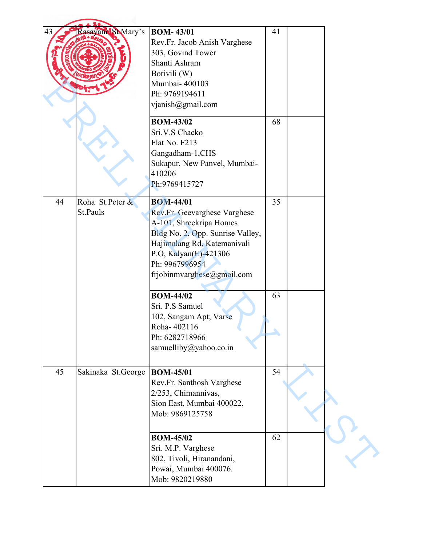| 43 | Rasayani St Mary's          | <b>BOM-43/01</b><br>Rev.Fr. Jacob Anish Varghese<br>303, Govind Tower<br>Shanti Ashram<br>Borivili (W)<br>Mumbai- 400103<br>Ph: 9769194611<br>vjanish@gmail.com                                                                                                                                                           | 41       |  |
|----|-----------------------------|---------------------------------------------------------------------------------------------------------------------------------------------------------------------------------------------------------------------------------------------------------------------------------------------------------------------------|----------|--|
|    |                             | <b>BOM-43/02</b><br>Sri.V.S Chacko<br>Flat No. F213<br>Gangadham-1,CHS<br>Sukapur, New Panvel, Mumbai-<br>410206<br>Ph:9769415727                                                                                                                                                                                         | 68       |  |
| 44 | Roha St.Peter &<br>St.Pauls | <b>BOM-44/01</b><br>Rev.Fr. Geevarghese Varghese<br>A-101, Shreekripa Homes<br>Bldg No. 2, Opp. Sunrise Valley,<br>Hajimalang Rd, Katemanivali<br>P.O, Kalyan(E)-421306<br>Ph: 9967996954<br>frjobinmvarghese@gmail.com<br><b>BOM-44/02</b><br>Sri. P.S Samuel<br>102, Sangam Apt; Varse<br>Roha-402116<br>Ph: 6282718966 | 35<br>63 |  |
| 45 | Sakinaka St.George          | samuelliby@yahoo.co.in<br><b>BOM-45/01</b><br>Rev.Fr. Santhosh Varghese<br>2/253, Chimannivas,<br>Sion East, Mumbai 400022.<br>Mob: 9869125758                                                                                                                                                                            | 54       |  |
|    |                             | <b>BOM-45/02</b><br>Sri. M.P. Varghese<br>802, Tivoli, Hiranandani,<br>Powai, Mumbai 400076.<br>Mob: 9820219880                                                                                                                                                                                                           | 62       |  |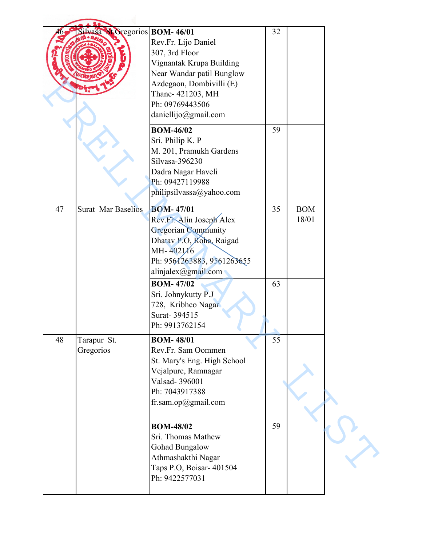|    | Silvasa St. Gregorios BOM- 46/01 | Rev.Fr. Lijo Daniel<br>307, 3rd Floor<br>Vignantak Krupa Building<br>Near Wandar patil Bunglow<br>Azdegaon, Dombivilli (E)<br>Thane- 421203, MH<br>Ph: 09769443506<br>daniellijo@gmail.com                          | 32       |                     |  |
|----|----------------------------------|---------------------------------------------------------------------------------------------------------------------------------------------------------------------------------------------------------------------|----------|---------------------|--|
|    |                                  | <b>BOM-46/02</b><br>Sri. Philip K. P<br>M. 201, Pramukh Gardens<br>Silvasa-396230<br>Dadra Nagar Haveli<br>Ph: 09427119988<br>philipsilvassa@yahoo.com                                                              | 59       |                     |  |
| 47 | <b>Surat Mar Baselios</b>        | <b>BOM-47/01</b><br>Rev.Fr. Alin Joseph Alex<br><b>Gregorian Community</b><br>Dhatav P.O, Roha, Raigad<br>MH-402116<br>Ph: 9561263883, 9561263655<br>alinjalex@gmail.com<br><b>BOM-47/02</b><br>Sri. Johnykutty P.J | 35<br>63 | <b>BOM</b><br>18/01 |  |
| 48 | Tarapur St.<br>Gregorios         | 728, Kribhco Nagar<br>Surat- 394515<br>Ph: 9913762154<br><b>BOM-48/01</b><br>Rev.Fr. Sam Oommen<br>St. Mary's Eng. High School<br>Vejalpure, Ramnagar<br>Valsad- 396001<br>Ph: 7043917388                           | 55       |                     |  |
|    |                                  | fr.sam.op@gmail.com<br><b>BOM-48/02</b><br>Sri. Thomas Mathew<br>Gohad Bungalow<br>Athmashakthi Nagar<br>Taps P.O, Boisar- 401504<br>Ph: 9422577031                                                                 | 59       |                     |  |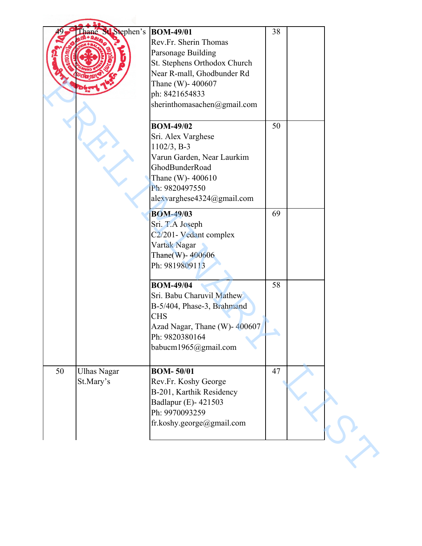| hane St. Stephen's<br><b>BOM-49/01</b><br>Rev.Fr. Sherin Thomas<br>Parsonage Building<br>St. Stephens Orthodox Church<br>Near R-mall, Ghodbunder Rd<br>Thane (W)- 400607<br>ph: 8421654833<br>sherinthomasachen@gmail.com | 38 |  |
|---------------------------------------------------------------------------------------------------------------------------------------------------------------------------------------------------------------------------|----|--|
|                                                                                                                                                                                                                           |    |  |
| <b>BOM-49/02</b><br>Sri. Alex Varghese<br>1102/3, B-3<br>Varun Garden, Near Laurkim<br>GhodBunderRoad<br>Thane (W)-400610<br>Ph: 9820497550<br>alexvarghese4324@gmail.com                                                 | 50 |  |
| <b>BOM-49/03</b><br>Sri. T.A Joseph<br>C2/201- Vedant complex<br>Vartak Nagar<br>Thane(W)-400606<br>Ph: 9819809113                                                                                                        | 69 |  |
| <b>BOM-49/04</b><br>Sri. Babu Charuvil Mathew<br>B-5/404, Phase-3, Brahmand<br><b>CHS</b><br>Azad Nagar, Thane (W)-400607<br>Ph: 9820380164<br>babucm1965@gmail.com                                                       | 58 |  |
| <b>BOM-50/01</b><br>Rev.Fr. Koshy George<br>B-201, Karthik Residency<br>Badlapur (E)-421503<br>Ph: 9970093259<br>fr.koshy.george@gmail.com                                                                                | 47 |  |
|                                                                                                                                                                                                                           |    |  |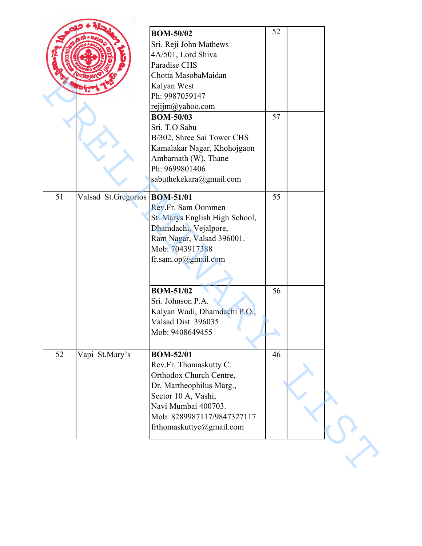|    |                                | <b>BOM-50/02</b><br>Sri. Reji John Mathews<br>4A/501, Lord Shiva<br>Paradise CHS<br>Chotta MasobaMaidan<br>Kalyan West<br>Ph: 9987059147<br>rejijm@yahoo.com<br><b>BOM-50/03</b><br>Sri. T.O Sabu<br>B/302, Shree Sai Tower CHS<br>Kamalakar Nagar, Khohojgaon<br>Ambarnath (W), Thane<br>Ph: 9699801406<br>sabuthekekara@gmail.com | 52<br>57 |  |
|----|--------------------------------|-------------------------------------------------------------------------------------------------------------------------------------------------------------------------------------------------------------------------------------------------------------------------------------------------------------------------------------|----------|--|
| 51 | Valsad St.Gregorios  BOM-51/01 | Rev.Fr. Sam Oommen<br>St. Marys English High School,<br>Dhamdachi, Vejalpore,<br>Ram Nagar, Valsad 396001.<br>Mob: 7043917388<br>fr.sam.op@gmail.com                                                                                                                                                                                | 55       |  |
|    |                                | <b>BOM-51/02</b><br>Sri. Johnson P.A.<br>Kalyan Wadi, Dhamdachi P.O.,<br>Valsad Dist. 396035<br>Mob: 9408649455                                                                                                                                                                                                                     | 56       |  |
| 52 | Vapi St.Mary's                 | <b>BOM-52/01</b><br>Rev.Fr. Thomaskutty C.<br>Orthodox Church Centre,<br>Dr. Martheophilus Marg.,<br>Sector 10 A, Vashi,<br>Navi Mumbai 400703.<br>Mob: 8289987117/9847327117<br>frthomaskuttyc@gmail.com                                                                                                                           | 46       |  |
|    |                                |                                                                                                                                                                                                                                                                                                                                     |          |  |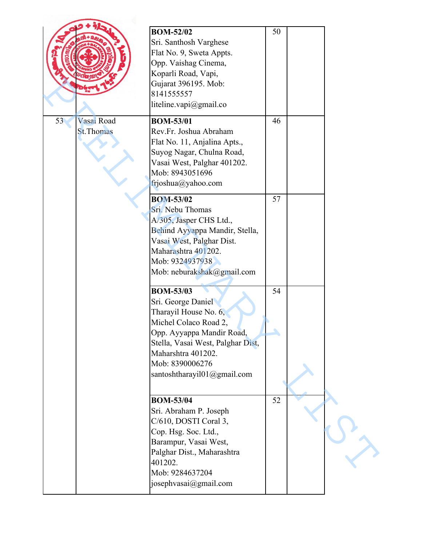|    |                                 | <b>BOM-52/02</b><br>Sri. Santhosh Varghese<br>Flat No. 9, Sweta Appts.<br>Opp. Vaishag Cinema,<br>Koparli Road, Vapi,<br>Gujarat 396195. Mob:<br>8141555557<br>liteline.vapi@gmail.co                                              | 50       |  |
|----|---------------------------------|------------------------------------------------------------------------------------------------------------------------------------------------------------------------------------------------------------------------------------|----------|--|
| 53 | Vasai Road<br><b>St. Thomas</b> | <b>BOM-53/01</b><br>Rev.Fr. Joshua Abraham<br>Flat No. 11, Anjalina Apts.,<br>Suyog Nagar, Chulna Road,<br>Vasai West, Palghar 401202.<br>Mob: 8943051696<br>frjoshua@yahoo.com<br><b>BOM-53/02</b>                                | 46<br>57 |  |
|    |                                 | Sri. Nebu Thomas<br>A/305, Jasper CHS Ltd.,<br>Behind Ayyappa Mandir, Stella,<br>Vasai West, Palghar Dist.<br>Maharashtra 401202.<br>Mob: 9324937938<br>Mob: neburakshak@gmail.com                                                 |          |  |
|    |                                 | <b>BOM-53/03</b><br>Sri. George Daniel<br>Tharayil House No. 6,<br>Michel Colaco Road 2,<br>Opp. Ayyappa Mandir Road,<br>Stella, Vasai West, Palghar Dist,<br>Maharshtra 401202.<br>Mob: 8390006276<br>santoshtharayil01@gmail.com | 54       |  |
|    |                                 | <b>BOM-53/04</b><br>Sri. Abraham P. Joseph<br>C/610, DOSTI Coral 3,<br>Cop. Hsg. Soc. Ltd.,<br>Barampur, Vasai West,<br>Palghar Dist., Maharashtra<br>401202.<br>Mob: 9284637204<br>josephvasai@gmail.com                          | 52       |  |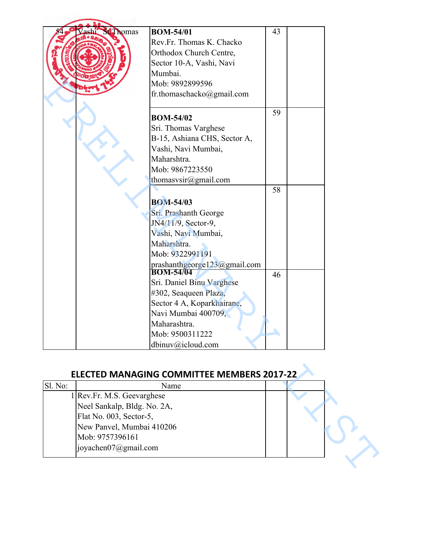| <b>Thomas</b>               | <b>BOM-54/01</b>                                  | 43 |  |
|-----------------------------|---------------------------------------------------|----|--|
|                             | Rev.Fr. Thomas K. Chacko                          |    |  |
|                             | Orthodox Church Centre,                           |    |  |
|                             | Sector 10-A, Vashi, Navi                          |    |  |
|                             | Mumbai.                                           |    |  |
|                             | Mob: 9892899596                                   |    |  |
|                             | fr.thomaschacko@gmail.com                         |    |  |
|                             |                                                   |    |  |
|                             | <b>BOM-54/02</b>                                  | 59 |  |
|                             | Sri. Thomas Varghese                              |    |  |
|                             | B-15, Ashiana CHS, Sector A,                      |    |  |
|                             | Vashi, Navi Mumbai,                               |    |  |
|                             | Maharshtra.                                       |    |  |
|                             | Mob: 9867223550                                   |    |  |
|                             |                                                   |    |  |
|                             | thomasvsir@gmail.com                              |    |  |
|                             |                                                   | 58 |  |
|                             | <b>BOM-54/03</b>                                  |    |  |
|                             | Sri. Prashanth George                             |    |  |
|                             | JN4/11/9, Sector-9,                               |    |  |
|                             | Vashi, Navi Mumbai,                               |    |  |
|                             | Maharshtra.                                       |    |  |
|                             | Mob: 9322991191                                   |    |  |
|                             | prashanthgeorge123@gmail.com                      |    |  |
|                             | <b>BOM-54/04</b>                                  | 46 |  |
|                             | Sri. Daniel Binu Varghese                         |    |  |
|                             | #302, Seaqueen Plaza,                             |    |  |
|                             | Sector 4 A, Koparkhairane,                        |    |  |
|                             | Navi Mumbai 400709,                               |    |  |
|                             | Maharashtra.                                      |    |  |
|                             | Mob: 9500311222                                   |    |  |
|                             | dbinuv@icloud.com                                 |    |  |
|                             |                                                   |    |  |
|                             |                                                   |    |  |
|                             | <b>ELECTED MANAGING COMMITTEE MEMBERS 2017-22</b> |    |  |
| Sl. No:                     | Name                                              |    |  |
| 1 Rev.Fr. M.S. Geevarghese  |                                                   |    |  |
| Neel Sankalp, Bldg. No. 2A, |                                                   |    |  |
| Flat No. 003, Sector-5,     |                                                   |    |  |
| New Panvel, Mumbai 410206   |                                                   |    |  |
| Mob: 9757396161             |                                                   |    |  |
| joyachen07@gmail.com        |                                                   |    |  |
|                             |                                                   |    |  |
|                             |                                                   |    |  |

## **ELECTED MANAGING COMMITTEE MEMBERS 2017-22**

| Sl. No: | Name                        |  |  |
|---------|-----------------------------|--|--|
|         | 1 Rev.Fr. M.S. Geevarghese  |  |  |
|         | Neel Sankalp, Bldg. No. 2A, |  |  |
|         | Flat No. 003, Sector-5,     |  |  |
|         | New Panvel, Mumbai 410206   |  |  |
|         | Mob: 9757396161             |  |  |
|         | joyachen07@gmail.com        |  |  |